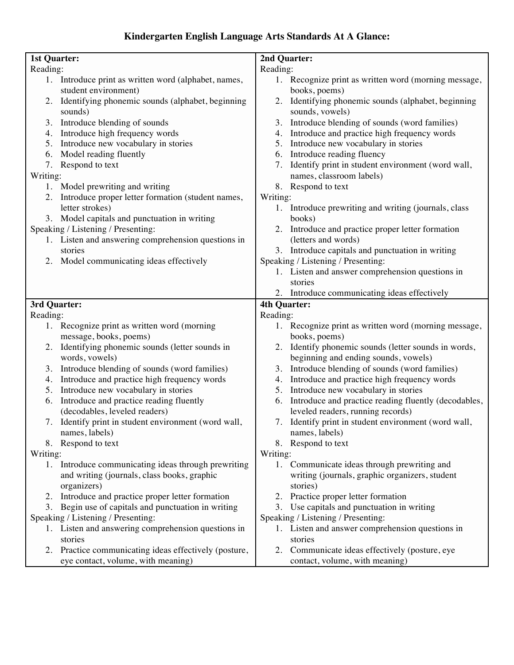#### **Kindergarten English Language Arts Standards At A Glance:**

| <b>1st Quarter:</b>                                                          | 2nd Quarter:                                                              |  |
|------------------------------------------------------------------------------|---------------------------------------------------------------------------|--|
| Reading:                                                                     | Reading:                                                                  |  |
| 1. Introduce print as written word (alphabet, names,<br>student environment) | 1. Recognize print as written word (morning message,<br>books, poems)     |  |
| Identifying phonemic sounds (alphabet, beginning<br>2.<br>sounds)            | Identifying phonemic sounds (alphabet, beginning<br>2.<br>sounds, vowels) |  |
| Introduce blending of sounds<br>3.                                           | Introduce blending of sounds (word families)<br>3.                        |  |
| Introduce high frequency words<br>4.                                         | Introduce and practice high frequency words<br>4.                         |  |
| Introduce new vocabulary in stories<br>5.                                    | Introduce new vocabulary in stories<br>5.                                 |  |
| Model reading fluently<br>6.                                                 | Introduce reading fluency<br>6.                                           |  |
| 7. Respond to text                                                           | Identify print in student environment (word wall,<br>7.                   |  |
| Writing:                                                                     | names, classroom labels)                                                  |  |
| 1. Model prewriting and writing                                              | 8. Respond to text                                                        |  |
| Introduce proper letter formation (student names,                            | Writing:                                                                  |  |
| letter strokes)                                                              | Introduce prewriting and writing (journals, class<br>1.                   |  |
| 3. Model capitals and punctuation in writing                                 | books)                                                                    |  |
| Speaking / Listening / Presenting:                                           | Introduce and practice proper letter formation<br>2.                      |  |
| 1. Listen and answering comprehension questions in                           | (letters and words)                                                       |  |
| stories                                                                      | 3. Introduce capitals and punctuation in writing                          |  |
| 2. Model communicating ideas effectively                                     | Speaking / Listening / Presenting:                                        |  |
|                                                                              | 1. Listen and answer comprehension questions in                           |  |
|                                                                              | stories                                                                   |  |
|                                                                              | 2. Introduce communicating ideas effectively                              |  |
| 3rd Quarter:                                                                 | 4th Quarter:                                                              |  |
| Reading:                                                                     | Reading:                                                                  |  |
| 1. Recognize print as written word (morning<br>message, books, poems)        | 1. Recognize print as written word (morning message,<br>books, poems)     |  |
| Identifying phonemic sounds (letter sounds in<br>2.                          | Identify phonemic sounds (letter sounds in words,<br>2.                   |  |
| words, vowels)                                                               | beginning and ending sounds, vowels)                                      |  |
| Introduce blending of sounds (word families)<br>3.                           | Introduce blending of sounds (word families)<br>3.                        |  |
| Introduce and practice high frequency words<br>4.                            | Introduce and practice high frequency words<br>4.                         |  |
| Introduce new vocabulary in stories<br>5.                                    | Introduce new vocabulary in stories<br>5.                                 |  |
| Introduce and practice reading fluently<br>6.                                | Introduce and practice reading fluently (decodables,<br>6.                |  |
| (decodables, leveled readers)                                                | leveled readers, running records)                                         |  |
| 7. Identify print in student environment (word wall,                         | 7. Identify print in student environment (word wall,                      |  |
| names, labels)                                                               | names, labels)                                                            |  |
| 8. Respond to text                                                           | 8. Respond to text                                                        |  |
| Writing:                                                                     | Writing:                                                                  |  |
| Introduce communicating ideas through prewriting<br>1.                       | Communicate ideas through prewriting and<br>1.                            |  |
| and writing (journals, class books, graphic                                  | writing (journals, graphic organizers, student                            |  |
| organizers)                                                                  | stories)                                                                  |  |
| 2. Introduce and practice proper letter formation                            | Practice proper letter formation<br>2.                                    |  |
| 3. Begin use of capitals and punctuation in writing                          | 3. Use capitals and punctuation in writing                                |  |
| Speaking / Listening / Presenting:                                           | Speaking / Listening / Presenting:                                        |  |
| 1. Listen and answering comprehension questions in                           | 1. Listen and answer comprehension questions in                           |  |
| stories                                                                      | stories                                                                   |  |
| 2. Practice communicating ideas effectively (posture,                        | 2. Communicate ideas effectively (posture, eye                            |  |
| eye contact, volume, with meaning)                                           | contact, volume, with meaning)                                            |  |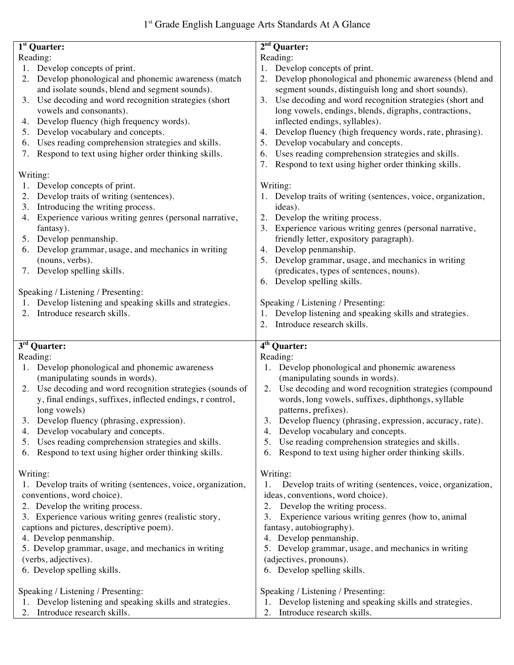| 1 <sup>st</sup> Quarter:                                                               | $2nd$ Quarter:                                                                                  |
|----------------------------------------------------------------------------------------|-------------------------------------------------------------------------------------------------|
| Reading:                                                                               | Reading:                                                                                        |
| 1. Develop concepts of print.                                                          | 1. Develop concepts of print.                                                                   |
| Develop phonological and phonemic awareness (match<br>2.                               | Develop phonological and phonemic awareness (blend and<br>2.                                    |
| and isolate sounds, blend and segment sounds).                                         | segment sounds, distinguish long and short sounds).                                             |
| Use decoding and word recognition strategies (short<br>3.                              | Use decoding and word recognition strategies (short and<br>3.                                   |
| vowels and consonants).                                                                | long vowels, endings, blends, digraphs, contractions,                                           |
| 4. Develop fluency (high frequency words).                                             | inflected endings, syllables).                                                                  |
| Develop vocabulary and concepts.<br>5.                                                 | Develop fluency (high frequency words, rate, phrasing).<br>4.                                   |
| Uses reading comprehension strategies and skills.<br>6.                                | Develop vocabulary and concepts.<br>5.                                                          |
| Respond to text using higher order thinking skills.<br>7.                              | Uses reading comprehension strategies and skills.<br>6.                                         |
|                                                                                        | Respond to text using higher order thinking skills.                                             |
| Writing:                                                                               |                                                                                                 |
| Develop concepts of print.                                                             | Writing:                                                                                        |
| Develop traits of writing (sentences).<br>2.                                           | 1. Develop traits of writing (sentences, voice, organization,                                   |
| Introducing the writing process.<br>3.                                                 | ideas).                                                                                         |
| 4. Experience various writing genres (personal narrative,                              | Develop the writing process.                                                                    |
| fantasy).                                                                              | 3. Experience various writing genres (personal narrative,                                       |
| 5. Develop penmanship.                                                                 | friendly letter, expository paragraph).                                                         |
| 6. Develop grammar, usage, and mechanics in writing                                    | Develop penmanship.<br>4.                                                                       |
| (nouns, verbs).                                                                        | 5. Develop grammar, usage, and mechanics in writing                                             |
| 7. Develop spelling skills.                                                            | (predicates, types of sentences, nouns).                                                        |
|                                                                                        | 6. Develop spelling skills.                                                                     |
| Speaking / Listening / Presenting:                                                     |                                                                                                 |
|                                                                                        |                                                                                                 |
| Develop listening and speaking skills and strategies.                                  | Speaking / Listening / Presenting:                                                              |
| 2. Introduce research skills.                                                          | 1. Develop listening and speaking skills and strategies.                                        |
|                                                                                        | 2. Introduce research skills.                                                                   |
| 3rd Quarter:                                                                           | 4 <sup>th</sup> Quarter:                                                                        |
| Reading:                                                                               | Reading:                                                                                        |
| 1. Develop phonological and phonemic awareness                                         | Develop phonological and phonemic awareness                                                     |
| (manipulating sounds in words).                                                        | (manipulating sounds in words).                                                                 |
| Use decoding and word recognition strategies (sounds of<br>2.                          | Use decoding and word recognition strategies (compound<br>2.                                    |
| y, final endings, suffixes, inflected endings, r control,                              | words, long vowels, suffixes, diphthongs, syllable                                              |
| long vowels)                                                                           |                                                                                                 |
|                                                                                        | patterns, prefixes).<br>Develop fluency (phrasing, expression, accuracy, rate).                 |
| Develop fluency (phrasing, expression).                                                | 3.                                                                                              |
| Develop vocabulary and concepts.<br>4.                                                 | Develop vocabulary and concepts.<br>4.                                                          |
|                                                                                        |                                                                                                 |
| Uses reading comprehension strategies and skills.<br>5.                                | Use reading comprehension strategies and skills.<br>5.                                          |
| Respond to text using higher order thinking skills.<br>6.                              | Respond to text using higher order thinking skills.<br>6.                                       |
|                                                                                        |                                                                                                 |
| Writing:                                                                               | Writing:                                                                                        |
| 1. Develop traits of writing (sentences, voice, organization,                          | Develop traits of writing (sentences, voice, organization,                                      |
| conventions, word choice).                                                             | ideas, conventions, word choice).                                                               |
| 2. Develop the writing process.                                                        | Develop the writing process.<br>2.                                                              |
| 3. Experience various writing genres (realistic story,                                 | Experience various writing genres (how to, animal<br>3.                                         |
| captions and pictures, descriptive poem).                                              | fantasy, autobiography).                                                                        |
| 4. Develop penmanship.                                                                 | 4. Develop penmanship.                                                                          |
| 5. Develop grammar, usage, and mechanics in writing                                    | 5. Develop grammar, usage, and mechanics in writing                                             |
| (verbs, adjectives).                                                                   | (adjectives, pronouns).                                                                         |
| 6. Develop spelling skills.                                                            | 6. Develop spelling skills.                                                                     |
|                                                                                        |                                                                                                 |
| Speaking / Listening / Presenting:                                                     | Speaking / Listening / Presenting:                                                              |
| Develop listening and speaking skills and strategies.<br>2. Introduce research skills. | Develop listening and speaking skills and strategies.<br>1.<br>Introduce research skills.<br>2. |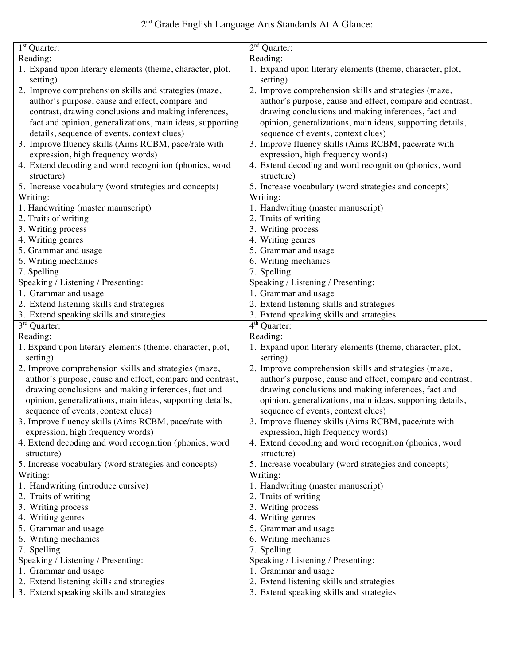# 2nd Grade English Language Arts Standards At A Glance:

| $1st$ Quarter:                                                        | $2nd$ Quarter:                                                        |
|-----------------------------------------------------------------------|-----------------------------------------------------------------------|
| Reading:                                                              | Reading:                                                              |
|                                                                       |                                                                       |
| 1. Expand upon literary elements (theme, character, plot,<br>setting) | 1. Expand upon literary elements (theme, character, plot,<br>setting) |
| 2. Improve comprehension skills and strategies (maze,                 | 2. Improve comprehension skills and strategies (maze,                 |
| author's purpose, cause and effect, compare and                       | author's purpose, cause and effect, compare and contrast,             |
| contrast, drawing conclusions and making inferences,                  | drawing conclusions and making inferences, fact and                   |
| fact and opinion, generalizations, main ideas, supporting             | opinion, generalizations, main ideas, supporting details,             |
| details, sequence of events, context clues)                           | sequence of events, context clues)                                    |
| 3. Improve fluency skills (Aims RCBM, pace/rate with                  | 3. Improve fluency skills (Aims RCBM, pace/rate with                  |
| expression, high frequency words)                                     | expression, high frequency words)                                     |
| 4. Extend decoding and word recognition (phonics, word                | 4. Extend decoding and word recognition (phonics, word                |
| structure)                                                            | structure)                                                            |
| 5. Increase vocabulary (word strategies and concepts)                 | 5. Increase vocabulary (word strategies and concepts)                 |
| Writing:                                                              | Writing:                                                              |
| 1. Handwriting (master manuscript)                                    | 1. Handwriting (master manuscript)                                    |
| 2. Traits of writing                                                  | 2. Traits of writing                                                  |
| 3. Writing process                                                    | 3. Writing process                                                    |
| 4. Writing genres                                                     | 4. Writing genres                                                     |
| 5. Grammar and usage                                                  | 5. Grammar and usage                                                  |
| 6. Writing mechanics                                                  | 6. Writing mechanics                                                  |
| 7. Spelling                                                           | 7. Spelling                                                           |
| Speaking / Listening / Presenting:                                    | Speaking / Listening / Presenting:                                    |
| 1. Grammar and usage                                                  | 1. Grammar and usage                                                  |
| 2. Extend listening skills and strategies                             | 2. Extend listening skills and strategies                             |
| 3. Extend speaking skills and strategies                              | 3. Extend speaking skills and strategies                              |
|                                                                       |                                                                       |
|                                                                       |                                                                       |
| 3 <sup>rd</sup> Quarter:                                              | $4th$ Quarter:                                                        |
| Reading:                                                              | Reading:                                                              |
| 1. Expand upon literary elements (theme, character, plot,<br>setting) | 1. Expand upon literary elements (theme, character, plot,<br>setting) |
| 2. Improve comprehension skills and strategies (maze,                 | 2. Improve comprehension skills and strategies (maze,                 |
| author's purpose, cause and effect, compare and contrast,             | author's purpose, cause and effect, compare and contrast,             |
| drawing conclusions and making inferences, fact and                   | drawing conclusions and making inferences, fact and                   |
| opinion, generalizations, main ideas, supporting details,             | opinion, generalizations, main ideas, supporting details,             |
| sequence of events, context clues)                                    | sequence of events, context clues)                                    |
| 3. Improve fluency skills (Aims RCBM, pace/rate with                  | 3. Improve fluency skills (Aims RCBM, pace/rate with                  |
| expression, high frequency words)                                     | expression, high frequency words)                                     |
| 4. Extend decoding and word recognition (phonics, word                | 4. Extend decoding and word recognition (phonics, word                |
| structure)                                                            | structure)                                                            |
| 5. Increase vocabulary (word strategies and concepts)                 | 5. Increase vocabulary (word strategies and concepts)                 |
| Writing:                                                              | Writing:                                                              |
| 1. Handwriting (introduce cursive)                                    | 1. Handwriting (master manuscript)                                    |
| 2. Traits of writing                                                  | 2. Traits of writing                                                  |
| 3. Writing process                                                    | 3. Writing process                                                    |
| 4. Writing genres                                                     | 4. Writing genres                                                     |
| 5. Grammar and usage                                                  | 5. Grammar and usage                                                  |
| 6. Writing mechanics                                                  | 6. Writing mechanics                                                  |
| 7. Spelling                                                           | 7. Spelling                                                           |
| Speaking / Listening / Presenting:                                    | Speaking / Listening / Presenting:                                    |
| 1. Grammar and usage                                                  | 1. Grammar and usage                                                  |
| 2. Extend listening skills and strategies                             | 2. Extend listening skills and strategies                             |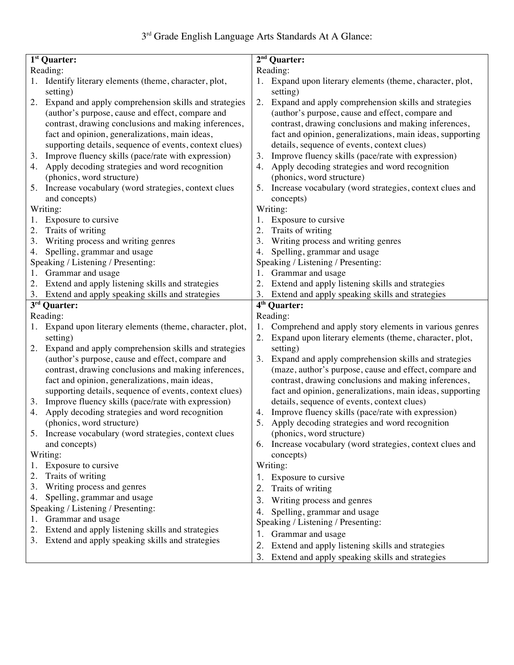| $1st$ Quarter:                                               | $2nd$ Quarter:                                                                                                  |  |  |
|--------------------------------------------------------------|-----------------------------------------------------------------------------------------------------------------|--|--|
| Reading:                                                     | Reading:                                                                                                        |  |  |
| Identify literary elements (theme, character, plot,          | Expand upon literary elements (theme, character, plot,                                                          |  |  |
| setting)                                                     | setting)                                                                                                        |  |  |
| Expand and apply comprehension skills and strategies<br>2.   | Expand and apply comprehension skills and strategies<br>2.                                                      |  |  |
| (author's purpose, cause and effect, compare and             | (author's purpose, cause and effect, compare and                                                                |  |  |
| contrast, drawing conclusions and making inferences,         | contrast, drawing conclusions and making inferences,                                                            |  |  |
|                                                              |                                                                                                                 |  |  |
| fact and opinion, generalizations, main ideas,               | fact and opinion, generalizations, main ideas, supporting                                                       |  |  |
| supporting details, sequence of events, context clues)       | details, sequence of events, context clues)                                                                     |  |  |
| Improve fluency skills (pace/rate with expression)<br>3.     | Improve fluency skills (pace/rate with expression)<br>3.                                                        |  |  |
| Apply decoding strategies and word recognition<br>4.         | Apply decoding strategies and word recognition<br>4.                                                            |  |  |
| (phonics, word structure)                                    | (phonics, word structure)                                                                                       |  |  |
| Increase vocabulary (word strategies, context clues<br>5.    | Increase vocabulary (word strategies, context clues and<br>5.                                                   |  |  |
| and concepts)                                                | concepts)                                                                                                       |  |  |
| Writing:                                                     | Writing:                                                                                                        |  |  |
| Exposure to cursive<br>1.                                    | 1. Exposure to cursive                                                                                          |  |  |
|                                                              |                                                                                                                 |  |  |
| Traits of writing<br>2.                                      | Traits of writing<br>2.                                                                                         |  |  |
| Writing process and writing genres<br>3.                     | Writing process and writing genres<br>3.                                                                        |  |  |
| Spelling, grammar and usage<br>4.                            | Spelling, grammar and usage<br>4.                                                                               |  |  |
| Speaking / Listening / Presenting:                           | Speaking / Listening / Presenting:                                                                              |  |  |
| Grammar and usage<br>1.                                      | Grammar and usage<br>1.                                                                                         |  |  |
| 2. Extend and apply listening skills and strategies          | Extend and apply listening skills and strategies<br>2.                                                          |  |  |
| 3. Extend and apply speaking skills and strategies           | Extend and apply speaking skills and strategies<br>3.                                                           |  |  |
| $\overline{3^{rd}}$ Quarter:                                 | $\overline{4^{th}}$ Quarter:                                                                                    |  |  |
| Reading:                                                     | Reading:                                                                                                        |  |  |
|                                                              |                                                                                                                 |  |  |
| Expand upon literary elements (theme, character, plot,<br>1. | Comprehend and apply story elements in various genres<br>1.                                                     |  |  |
| setting)                                                     | Expand upon literary elements (theme, character, plot,<br>2.                                                    |  |  |
| 2.<br>Expand and apply comprehension skills and strategies   | setting)                                                                                                        |  |  |
| (author's purpose, cause and effect, compare and             | 3.<br>Expand and apply comprehension skills and strategies                                                      |  |  |
| contrast, drawing conclusions and making inferences,         | (maze, author's purpose, cause and effect, compare and                                                          |  |  |
| fact and opinion, generalizations, main ideas,               | contrast, drawing conclusions and making inferences,                                                            |  |  |
| supporting details, sequence of events, context clues)       | fact and opinion, generalizations, main ideas, supporting                                                       |  |  |
| Improve fluency skills (pace/rate with expression)<br>3.     | details, sequence of events, context clues)                                                                     |  |  |
| Apply decoding strategies and word recognition<br>4.         | Improve fluency skills (pace/rate with expression)<br>4.                                                        |  |  |
|                                                              | 5.                                                                                                              |  |  |
| (phonics, word structure)                                    | Apply decoding strategies and word recognition                                                                  |  |  |
| Increase vocabulary (word strategies, context clues<br>5.    | (phonics, word structure)                                                                                       |  |  |
| and concepts)                                                | Increase vocabulary (word strategies, context clues and<br>6.                                                   |  |  |
| Writing:                                                     | concepts)                                                                                                       |  |  |
| Exposure to cursive<br>1.                                    | Writing:                                                                                                        |  |  |
| 2.<br>Traits of writing                                      | 1. Exposure to cursive                                                                                          |  |  |
| Writing process and genres<br>3.                             | Traits of writing<br>2.                                                                                         |  |  |
| Spelling, grammar and usage<br>4.                            |                                                                                                                 |  |  |
| Speaking / Listening / Presenting:                           | 3.<br>Writing process and genres                                                                                |  |  |
|                                                              | Spelling, grammar and usage<br>4.                                                                               |  |  |
| Grammar and usage                                            | Speaking / Listening / Presenting:                                                                              |  |  |
| Extend and apply listening skills and strategies<br>2.       | Grammar and usage<br>1.                                                                                         |  |  |
| Extend and apply speaking skills and strategies<br>3.        |                                                                                                                 |  |  |
|                                                              |                                                                                                                 |  |  |
|                                                              | Extend and apply listening skills and strategies<br>2.<br>Extend and apply speaking skills and strategies<br>3. |  |  |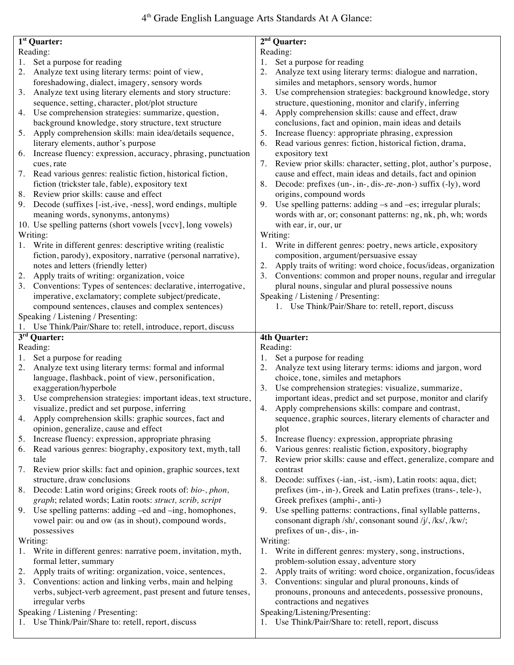|    | $\overline{1^{st}}$ Quarter:                                      | $2nd$ Quarter:                                                        |
|----|-------------------------------------------------------------------|-----------------------------------------------------------------------|
|    | Reading:                                                          | Reading:                                                              |
| 1. |                                                                   | 1.                                                                    |
|    | Set a purpose for reading                                         | Set a purpose for reading                                             |
|    | 2. Analyze text using literary terms: point of view,              | 2. Analyze text using literary terms: dialogue and narration,         |
|    | foreshadowing, dialect, imagery, sensory words                    | similes and metaphors, sensory words, humor                           |
| 3. | Analyze text using literary elements and story structure:         | Use comprehension strategies: background knowledge, story<br>3.       |
|    | sequence, setting, character, plot/plot structure                 | structure, questioning, monitor and clarify, inferring                |
| 4. | Use comprehension strategies: summarize, question,                | Apply comprehension skills: cause and effect, draw<br>4.              |
|    | background knowledge, story structure, text structure             | conclusions, fact and opinion, main ideas and details                 |
| 5. | Apply comprehension skills: main idea/details sequence,           | Increase fluency: appropriate phrasing, expression<br>5.              |
|    | literary elements, author's purpose                               | Read various genres: fiction, historical fiction, drama,<br>6.        |
|    | 6. Increase fluency: expression, accuracy, phrasing, punctuation  | expository text                                                       |
|    | cues, rate                                                        | 7. Review prior skills: character, setting, plot, author's purpose,   |
|    | 7. Read various genres: realistic fiction, historical fiction,    | cause and effect, main ideas and details, fact and opinion            |
|    | fiction (trickster tale, fable), expository text                  | 8. Decode: prefixes (un-, in-, dis-, re-, non-) suffix (-ly), word    |
| 8. | Review prior skills: cause and effect                             | origins, compound words                                               |
|    | 9. Decode (suffixes [-ist,-ive, -ness], word endings, multiple    | 9. Use spelling patterns: adding -s and -es; irregular plurals;       |
|    | meaning words, synonyms, antonyms)                                | words with ar, or; consonant patterns: ng, nk, ph, wh; words          |
|    | 10. Use spelling patterns (short vowels [vccv], long vowels)      | with ear, ir, our, ur                                                 |
|    | Writing:                                                          | Writing:                                                              |
|    | Write in different genres: descriptive writing (realistic         | Write in different genres: poetry, news article, expository<br>1.     |
|    | fiction, parody), expository, narrative (personal narrative),     | composition, argument/persuasive essay                                |
|    | notes and letters (friendly letter)                               | Apply traits of writing: word choice, focus/ideas, organization<br>2. |
| 2. | Apply traits of writing: organization, voice                      | Conventions: common and proper nouns, regular and irregular<br>3.     |
|    | 3. Conventions: Types of sentences: declarative, interrogative,   | plural nouns, singular and plural possessive nouns                    |
|    | imperative, exclamatory; complete subject/predicate,              | Speaking / Listening / Presenting:                                    |
|    | compound sentences, clauses and complex sentences)                | 1. Use Think/Pair/Share to: retell, report, discuss                   |
|    | Speaking / Listening / Presenting:                                |                                                                       |
|    | Use Think/Pair/Share to: retell, introduce, report, discuss       |                                                                       |
|    |                                                                   |                                                                       |
|    | $\overline{3^{rd}}$ Quarter:                                      | <b>4th Quarter:</b>                                                   |
|    | Reading:                                                          | Reading:                                                              |
| 1. | Set a purpose for reading                                         | Set a purpose for reading<br>1.                                       |
| 2. | Analyze text using literary terms: formal and informal            | 2. Analyze text using literary terms: idioms and jargon, word         |
|    | language, flashback, point of view, personification,              | choice, tone, similes and metaphors                                   |
|    | exaggeration/hyperbole                                            | Use comprehension strategies: visualize, summarize,<br>3.             |
|    | 3. Use comprehension strategies: important ideas, text structure, | important ideas, predict and set purpose, monitor and clarify         |
|    | visualize, predict and set purpose, inferring                     | 4. Apply comprehensions skills: compare and contrast,                 |
|    | 4. Apply comprehension skills: graphic sources, fact and          | sequence, graphic sources, literary elements of character and         |
|    | opinion, generalize, cause and effect                             | plot                                                                  |
| 5. | Increase fluency: expression, appropriate phrasing                | Increase fluency: expression, appropriate phrasing<br>5.              |
| 6. | Read various genres: biography, expository text, myth, tall       | Various genres: realistic fiction, expository, biography<br>6.        |
|    | tale                                                              | Review prior skills: cause and effect, generalize, compare and<br>7.  |
| 7. | Review prior skills: fact and opinion, graphic sources, text      | contrast                                                              |
|    | structure, draw conclusions                                       | Decode: suffixes (-ian, -ist, -ism), Latin roots: aqua, dict;<br>8.   |
| 8. | Decode: Latin word origins; Greek roots of: bio-, phon,           | prefixes (im-, in-), Greek and Latin prefixes (trans-, tele-),        |
|    | graph; related words; Latin roots: struct, scrib, script          | Greek prefixes (amphi-, anti-)                                        |
| 9. | Use spelling patterns: adding -ed and -ing, homophones,           | 9. Use spelling patterns: contractions, final syllable patterns,      |
|    | vowel pair: ou and ow (as in shout), compound words,              | consonant digraph /sh/, consonant sound /j/, /ks/, /kw/;              |
|    | possessives                                                       | prefixes of un-, dis-, in-                                            |
|    | Writing:                                                          | Writing:                                                              |
|    | 1. Write in different genres: narrative poem, invitation, myth,   | Write in different genres: mystery, song, instructions,<br>1.         |
|    | formal letter, summary                                            | problem-solution essay, adventure story                               |
| 2. | Apply traits of writing: organization, voice, sentences,          | Apply traits of writing: word choice, organization, focus/ideas<br>2. |
|    | 3. Conventions: action and linking verbs, main and helping        | Conventions: singular and plural pronouns, kinds of<br>3.             |
|    | verbs, subject-verb agreement, past present and future tenses,    | pronouns, pronouns and antecedents, possessive pronouns,              |
|    | irregular verbs                                                   | contractions and negatives                                            |
|    | Speaking / Listening / Presenting:                                | Speaking/Listening/Presenting:                                        |
|    | 1. Use Think/Pair/Share to: retell, report, discuss               | 1. Use Think/Pair/Share to: retell, report, discuss                   |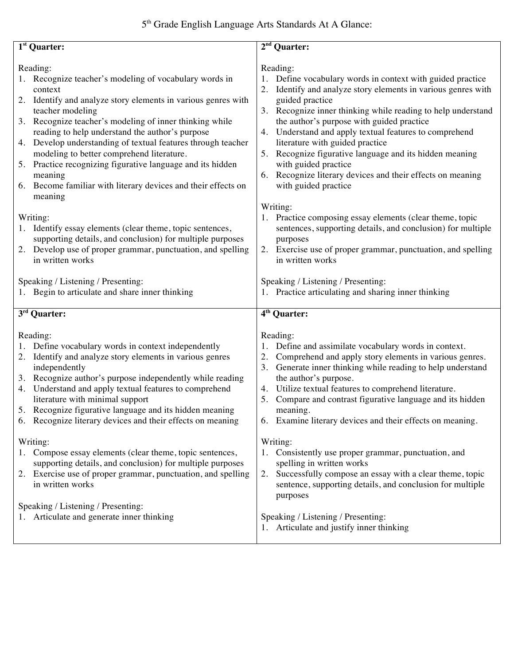| $\overline{1^{st}}$ Quarter:                                                                                                                                                                                                                                                                                                                                                                                                                                                                                                                             | $2nd$ Quarter:                                                                                                                                                                                                                                                                                                                                                                                                                                                                                                                                      |
|----------------------------------------------------------------------------------------------------------------------------------------------------------------------------------------------------------------------------------------------------------------------------------------------------------------------------------------------------------------------------------------------------------------------------------------------------------------------------------------------------------------------------------------------------------|-----------------------------------------------------------------------------------------------------------------------------------------------------------------------------------------------------------------------------------------------------------------------------------------------------------------------------------------------------------------------------------------------------------------------------------------------------------------------------------------------------------------------------------------------------|
|                                                                                                                                                                                                                                                                                                                                                                                                                                                                                                                                                          |                                                                                                                                                                                                                                                                                                                                                                                                                                                                                                                                                     |
| Reading:<br>1. Recognize teacher's modeling of vocabulary words in<br>context<br>2. Identify and analyze story elements in various genres with<br>teacher modeling<br>3. Recognize teacher's modeling of inner thinking while<br>reading to help understand the author's purpose<br>Develop understanding of textual features through teacher<br>4.<br>modeling to better comprehend literature.<br>Practice recognizing figurative language and its hidden<br>5.<br>meaning<br>6. Become familiar with literary devices and their effects on<br>meaning | Reading:<br>Define vocabulary words in context with guided practice<br>Identify and analyze story elements in various genres with<br>2.<br>guided practice<br>3. Recognize inner thinking while reading to help understand<br>the author's purpose with guided practice<br>Understand and apply textual features to comprehend<br>4.<br>literature with guided practice<br>5. Recognize figurative language and its hidden meaning<br>with guided practice<br>Recognize literary devices and their effects on meaning<br>6.<br>with guided practice |
| Writing:<br>1. Identify essay elements (clear theme, topic sentences,<br>supporting details, and conclusion) for multiple purposes<br>2. Develop use of proper grammar, punctuation, and spelling<br>in written works<br>Speaking / Listening / Presenting:<br>1. Begin to articulate and share inner thinking                                                                                                                                                                                                                                           | Writing:<br>1. Practice composing essay elements (clear theme, topic<br>sentences, supporting details, and conclusion) for multiple<br>purposes<br>2. Exercise use of proper grammar, punctuation, and spelling<br>in written works<br>Speaking / Listening / Presenting:<br>1. Practice articulating and sharing inner thinking                                                                                                                                                                                                                    |
| $3rd$ Quarter:                                                                                                                                                                                                                                                                                                                                                                                                                                                                                                                                           | 4 <sup>th</sup> Quarter:                                                                                                                                                                                                                                                                                                                                                                                                                                                                                                                            |
| Reading:<br>Define vocabulary words in context independently<br>1.<br>2. Identify and analyze story elements in various genres<br>independently<br>3. Recognize author's purpose independently while reading<br>4. Understand and apply textual features to comprehend<br>literature with minimal support<br>5. Recognize figurative language and its hidden meaning<br>6. Recognize literary devices and their effects on meaning<br>Writing:<br>1. Compose essay elements (clear theme, topic sentences,                                               | Reading:<br>Define and assimilate vocabulary words in context.<br>1.<br>Comprehend and apply story elements in various genres.<br>2.<br>3. Generate inner thinking while reading to help understand<br>the author's purpose.<br>Utilize textual features to comprehend literature.<br>4.<br>Compare and contrast figurative language and its hidden<br>5.<br>meaning.<br>6. Examine literary devices and their effects on meaning.<br>Writing:<br>1. Consistently use proper grammar, punctuation, and                                              |
| supporting details, and conclusion) for multiple purposes<br>2. Exercise use of proper grammar, punctuation, and spelling<br>in written works<br>Speaking / Listening / Presenting:<br>Articulate and generate inner thinking                                                                                                                                                                                                                                                                                                                            | spelling in written works<br>Successfully compose an essay with a clear theme, topic<br>2.<br>sentence, supporting details, and conclusion for multiple<br>purposes<br>Speaking / Listening / Presenting:<br>1. Articulate and justify inner thinking                                                                                                                                                                                                                                                                                               |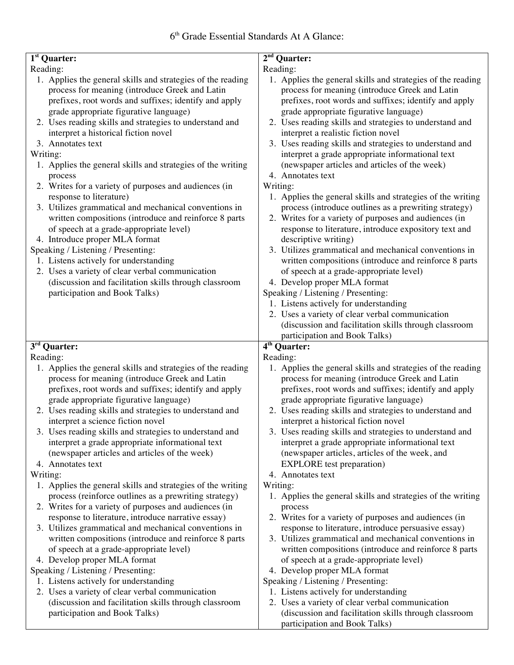| 1 <sup>st</sup> Quarter:                                                                                                                                                                                                                                                                                                                                                                                                                                                                                                       | $2nd$ Quarter:                                                                                                                                                                                                                                                                                                                                                                                                                                                                                                                                                                                 |
|--------------------------------------------------------------------------------------------------------------------------------------------------------------------------------------------------------------------------------------------------------------------------------------------------------------------------------------------------------------------------------------------------------------------------------------------------------------------------------------------------------------------------------|------------------------------------------------------------------------------------------------------------------------------------------------------------------------------------------------------------------------------------------------------------------------------------------------------------------------------------------------------------------------------------------------------------------------------------------------------------------------------------------------------------------------------------------------------------------------------------------------|
|                                                                                                                                                                                                                                                                                                                                                                                                                                                                                                                                |                                                                                                                                                                                                                                                                                                                                                                                                                                                                                                                                                                                                |
| Reading:<br>1. Applies the general skills and strategies of the reading<br>process for meaning (introduce Greek and Latin<br>prefixes, root words and suffixes; identify and apply<br>grade appropriate figurative language)<br>2. Uses reading skills and strategies to understand and<br>interpret a historical fiction novel<br>3. Annotates text<br>Writing:<br>1. Applies the general skills and strategies of the writing<br>process<br>2. Writes for a variety of purposes and audiences (in<br>response to literature) | Reading:<br>1. Applies the general skills and strategies of the reading<br>process for meaning (introduce Greek and Latin<br>prefixes, root words and suffixes; identify and apply<br>grade appropriate figurative language)<br>2. Uses reading skills and strategies to understand and<br>interpret a realistic fiction novel<br>3. Uses reading skills and strategies to understand and<br>interpret a grade appropriate informational text<br>(newspaper articles and articles of the week)<br>4. Annotates text<br>Writing:<br>1. Applies the general skills and strategies of the writing |
| 3. Utilizes grammatical and mechanical conventions in<br>written compositions (introduce and reinforce 8 parts<br>of speech at a grade-appropriate level)                                                                                                                                                                                                                                                                                                                                                                      | process (introduce outlines as a prewriting strategy)<br>2. Writes for a variety of purposes and audiences (in<br>response to literature, introduce expository text and                                                                                                                                                                                                                                                                                                                                                                                                                        |
| 4. Introduce proper MLA format<br>Speaking / Listening / Presenting:<br>1. Listens actively for understanding<br>2. Uses a variety of clear verbal communication<br>(discussion and facilitation skills through classroom<br>participation and Book Talks)                                                                                                                                                                                                                                                                     | descriptive writing)<br>3. Utilizes grammatical and mechanical conventions in<br>written compositions (introduce and reinforce 8 parts<br>of speech at a grade-appropriate level)<br>4. Develop proper MLA format<br>Speaking / Listening / Presenting:<br>1. Listens actively for understanding<br>2. Uses a variety of clear verbal communication<br>(discussion and facilitation skills through classroom<br>participation and Book Talks)                                                                                                                                                  |
| 3rd Quarter:                                                                                                                                                                                                                                                                                                                                                                                                                                                                                                                   | $\overline{4^{th}}$ Quarter:                                                                                                                                                                                                                                                                                                                                                                                                                                                                                                                                                                   |
|                                                                                                                                                                                                                                                                                                                                                                                                                                                                                                                                |                                                                                                                                                                                                                                                                                                                                                                                                                                                                                                                                                                                                |
|                                                                                                                                                                                                                                                                                                                                                                                                                                                                                                                                |                                                                                                                                                                                                                                                                                                                                                                                                                                                                                                                                                                                                |
| Reading:<br>1. Applies the general skills and strategies of the reading<br>process for meaning (introduce Greek and Latin<br>prefixes, root words and suffixes; identify and apply<br>grade appropriate figurative language)<br>2. Uses reading skills and strategies to understand and<br>interpret a science fiction novel<br>3. Uses reading skills and strategies to understand and<br>interpret a grade appropriate informational text<br>(newspaper articles and articles of the week)                                   | Reading:<br>1. Applies the general skills and strategies of the reading<br>process for meaning (introduce Greek and Latin<br>prefixes, root words and suffixes; identify and apply<br>grade appropriate figurative language)<br>2. Uses reading skills and strategies to understand and<br>interpret a historical fiction novel<br>3. Uses reading skills and strategies to understand and<br>interpret a grade appropriate informational text<br>(newspaper articles, articles of the week, and                                                                                               |
| 4. Annotates text                                                                                                                                                                                                                                                                                                                                                                                                                                                                                                              | <b>EXPLORE</b> test preparation)                                                                                                                                                                                                                                                                                                                                                                                                                                                                                                                                                               |
| Writing:<br>1. Applies the general skills and strategies of the writing<br>process (reinforce outlines as a prewriting strategy)<br>2. Writes for a variety of purposes and audiences (in<br>response to literature, introduce narrative essay)<br>3. Utilizes grammatical and mechanical conventions in<br>written compositions (introduce and reinforce 8 parts<br>of speech at a grade-appropriate level)<br>4. Develop proper MLA format                                                                                   | 4. Annotates text<br>Writing:<br>1. Applies the general skills and strategies of the writing<br>process<br>2. Writes for a variety of purposes and audiences (in<br>response to literature, introduce persuasive essay)<br>3. Utilizes grammatical and mechanical conventions in<br>written compositions (introduce and reinforce 8 parts<br>of speech at a grade-appropriate level)                                                                                                                                                                                                           |
| Speaking / Listening / Presenting:                                                                                                                                                                                                                                                                                                                                                                                                                                                                                             | 4. Develop proper MLA format                                                                                                                                                                                                                                                                                                                                                                                                                                                                                                                                                                   |
| 1. Listens actively for understanding<br>2. Uses a variety of clear verbal communication<br>(discussion and facilitation skills through classroom<br>participation and Book Talks)                                                                                                                                                                                                                                                                                                                                             | Speaking / Listening / Presenting:<br>1. Listens actively for understanding<br>2. Uses a variety of clear verbal communication<br>(discussion and facilitation skills through classroom                                                                                                                                                                                                                                                                                                                                                                                                        |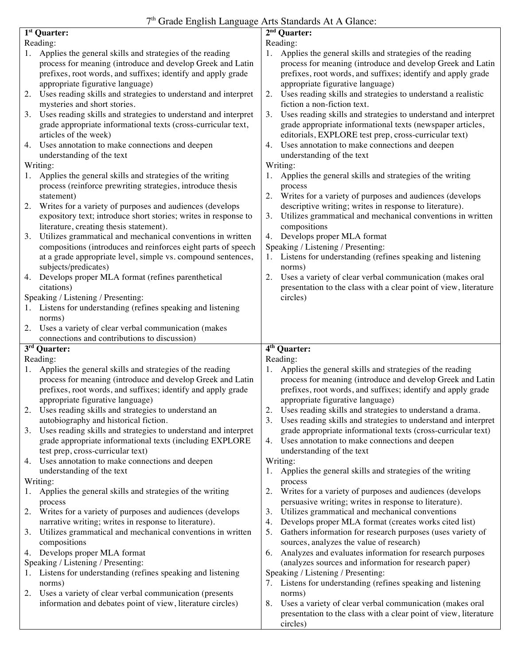## 7<sup>th</sup> Grade English Language Arts Standards At A Glance:

|    | 1 <sup>st</sup> Quarter:                                                             | 2 <sup>nd</sup> Quarter:                                                                                                           |
|----|--------------------------------------------------------------------------------------|------------------------------------------------------------------------------------------------------------------------------------|
|    | Reading:                                                                             | Reading:                                                                                                                           |
| 1. | Applies the general skills and strategies of the reading                             | Applies the general skills and strategies of the reading<br>Ι.                                                                     |
|    | process for meaning (introduce and develop Greek and Latin                           | process for meaning (introduce and develop Greek and Latin                                                                         |
|    | prefixes, root words, and suffixes; identify and apply grade                         | prefixes, root words, and suffixes; identify and apply grade                                                                       |
|    | appropriate figurative language)                                                     | appropriate figurative language)                                                                                                   |
| 2. | Uses reading skills and strategies to understand and interpret                       | Uses reading skills and strategies to understand a realistic<br>2.                                                                 |
|    | mysteries and short stories.                                                         | fiction a non-fiction text.                                                                                                        |
| 3. | Uses reading skills and strategies to understand and interpret                       | 3.<br>Uses reading skills and strategies to understand and interpret                                                               |
|    | grade appropriate informational texts (cross-curricular text,                        | grade appropriate informational texts (newspaper articles,                                                                         |
|    | articles of the week)                                                                | editorials, EXPLORE test prep, cross-curricular text)                                                                              |
| 4. | Uses annotation to make connections and deepen                                       | Uses annotation to make connections and deepen<br>4.                                                                               |
|    | understanding of the text                                                            | understanding of the text                                                                                                          |
|    | Writing:                                                                             | Writing:                                                                                                                           |
| 1. | Applies the general skills and strategies of the writing                             | Applies the general skills and strategies of the writing<br>1.                                                                     |
|    | process (reinforce prewriting strategies, introduce thesis                           | process                                                                                                                            |
|    | statement)                                                                           | Writes for a variety of purposes and audiences (develops<br>2.                                                                     |
| 2. | Writes for a variety of purposes and audiences (develops                             | descriptive writing; writes in response to literature).                                                                            |
|    | expository text; introduce short stories; writes in response to                      | Utilizes grammatical and mechanical conventions in written<br>3.                                                                   |
|    | literature, creating thesis statement).                                              | compositions                                                                                                                       |
|    | Utilizes grammatical and mechanical conventions in written                           | Develops proper MLA format<br>4.                                                                                                   |
| 3. |                                                                                      |                                                                                                                                    |
|    | compositions (introduces and reinforces eight parts of speech                        | Speaking / Listening / Presenting:<br>Listens for understanding (refines speaking and listening                                    |
|    | at a grade appropriate level, simple vs. compound sentences,<br>subjects/predicates) | 1.<br>norms)                                                                                                                       |
| 4. | Develops proper MLA format (refines parenthetical                                    | Uses a variety of clear verbal communication (makes oral<br>2.                                                                     |
|    | citations)                                                                           | presentation to the class with a clear point of view, literature                                                                   |
|    | Speaking / Listening / Presenting:                                                   | circles)                                                                                                                           |
|    | 1. Listens for understanding (refines speaking and listening                         |                                                                                                                                    |
|    | norms)                                                                               |                                                                                                                                    |
|    |                                                                                      |                                                                                                                                    |
|    |                                                                                      |                                                                                                                                    |
|    | 2. Uses a variety of clear verbal communication (makes                               |                                                                                                                                    |
|    | connections and contributions to discussion)                                         |                                                                                                                                    |
|    | $3rd$ Quarter:                                                                       | 4 <sup>th</sup> Quarter:                                                                                                           |
|    | Reading:                                                                             | Reading:                                                                                                                           |
| 1. | Applies the general skills and strategies of the reading                             | Applies the general skills and strategies of the reading<br>1.                                                                     |
|    | process for meaning (introduce and develop Greek and Latin                           | process for meaning (introduce and develop Greek and Latin                                                                         |
|    | prefixes, root words, and suffixes; identify and apply grade                         | prefixes, root words, and suffixes; identify and apply grade                                                                       |
|    | appropriate figurative language)                                                     | appropriate figurative language)                                                                                                   |
|    | Uses reading skills and strategies to understand an                                  | Uses reading skills and strategies to understand a drama.                                                                          |
|    | autobiography and historical fiction.                                                | Uses reading skills and strategies to understand and interpret<br>3.                                                               |
| 3. | Uses reading skills and strategies to understand and interpret                       | grade appropriate informational texts (cross-curricular text)                                                                      |
|    | grade appropriate informational texts (including EXPLORE                             | Uses annotation to make connections and deepen<br>4.                                                                               |
|    | test prep, cross-curricular text)                                                    | understanding of the text                                                                                                          |
| 4. | Uses annotation to make connections and deepen                                       | Writing:                                                                                                                           |
|    | understanding of the text                                                            | Applies the general skills and strategies of the writing<br>1.                                                                     |
|    | Writing:                                                                             | process                                                                                                                            |
| 1. | Applies the general skills and strategies of the writing                             | Writes for a variety of purposes and audiences (develops<br>2.                                                                     |
|    | process                                                                              | persuasive writing; writes in response to literature).                                                                             |
| 2. | Writes for a variety of purposes and audiences (develops                             | Utilizes grammatical and mechanical conventions<br>3.                                                                              |
|    | narrative writing; writes in response to literature).                                | Develops proper MLA format (creates works cited list)<br>4.                                                                        |
| 3. | Utilizes grammatical and mechanical conventions in written                           | 5.<br>Gathers information for research purposes (uses variety of                                                                   |
|    | compositions                                                                         | sources, analyzes the value of research)                                                                                           |
| 4. | Develops proper MLA format                                                           | Analyzes and evaluates information for research purposes<br>6.                                                                     |
|    | Speaking / Listening / Presenting:                                                   | (analyzes sources and information for research paper)                                                                              |
|    | Listens for understanding (refines speaking and listening                            | Speaking / Listening / Presenting:                                                                                                 |
|    | norms)                                                                               | 7. Listens for understanding (refines speaking and listening                                                                       |
| 2. | Uses a variety of clear verbal communication (presents                               | norms)                                                                                                                             |
|    | information and debates point of view, literature circles)                           | Uses a variety of clear verbal communication (makes oral<br>8.<br>presentation to the class with a clear point of view, literature |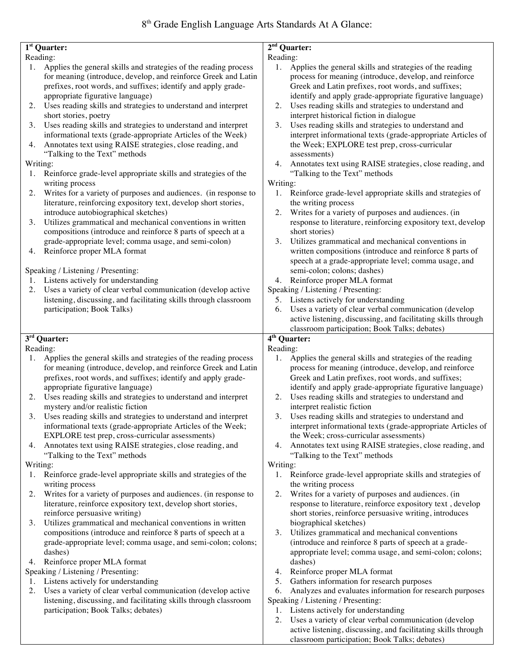| 1 <sup>st</sup> Quarter:                                                                                                                                                                                                                                                                                     | $2nd$ Quarter:                                                                                                                                                                                                                                                                                             |
|--------------------------------------------------------------------------------------------------------------------------------------------------------------------------------------------------------------------------------------------------------------------------------------------------------------|------------------------------------------------------------------------------------------------------------------------------------------------------------------------------------------------------------------------------------------------------------------------------------------------------------|
| Reading:                                                                                                                                                                                                                                                                                                     | Reading:                                                                                                                                                                                                                                                                                                   |
| Applies the general skills and strategies of the reading process<br>for meaning (introduce, develop, and reinforce Greek and Latin<br>prefixes, root words, and suffixes; identify and apply grade-<br>appropriate figurative language)<br>2. Uses reading skills and strategies to understand and interpret | Applies the general skills and strategies of the reading<br>1.<br>process for meaning (introduce, develop, and reinforce<br>Greek and Latin prefixes, root words, and suffixes;<br>identify and apply grade-appropriate figurative language)<br>Uses reading skills and strategies to understand and<br>2. |
| short stories, poetry                                                                                                                                                                                                                                                                                        | interpret historical fiction in dialogue                                                                                                                                                                                                                                                                   |
| Uses reading skills and strategies to understand and interpret<br>3.<br>informational texts (grade-appropriate Articles of the Week)<br>Annotates text using RAISE strategies, close reading, and<br>4.                                                                                                      | Uses reading skills and strategies to understand and<br>3.<br>interpret informational texts (grade-appropriate Articles of<br>the Week; EXPLORE test prep, cross-curricular                                                                                                                                |
| "Talking to the Text" methods                                                                                                                                                                                                                                                                                | assessments)                                                                                                                                                                                                                                                                                               |
| Writing:<br>Reinforce grade-level appropriate skills and strategies of the<br>1.<br>writing process                                                                                                                                                                                                          | Annotates text using RAISE strategies, close reading, and<br>4.<br>"Talking to the Text" methods<br>Writing:                                                                                                                                                                                               |
| Writes for a variety of purposes and audiences. (in response to<br>2.<br>literature, reinforcing expository text, develop short stories,                                                                                                                                                                     | Reinforce grade-level appropriate skills and strategies of<br>1.<br>the writing process                                                                                                                                                                                                                    |
| introduce autobiographical sketches)<br>Utilizes grammatical and mechanical conventions in written<br>3.<br>compositions (introduce and reinforce 8 parts of speech at a<br>grade-appropriate level; comma usage, and semi-colon)                                                                            | Writes for a variety of purposes and audiences. (in<br>2.<br>response to literature, reinforcing expository text, develop<br>short stories)<br>3.<br>Utilizes grammatical and mechanical conventions in                                                                                                    |
| Reinforce proper MLA format<br>4.                                                                                                                                                                                                                                                                            | written compositions (introduce and reinforce 8 parts of<br>speech at a grade-appropriate level; comma usage, and                                                                                                                                                                                          |
| Speaking / Listening / Presenting:                                                                                                                                                                                                                                                                           | semi-colon; colons; dashes)                                                                                                                                                                                                                                                                                |
| Listens actively for understanding<br>1.                                                                                                                                                                                                                                                                     | Reinforce proper MLA format<br>4.                                                                                                                                                                                                                                                                          |
| Uses a variety of clear verbal communication (develop active<br>2.                                                                                                                                                                                                                                           | Speaking / Listening / Presenting:                                                                                                                                                                                                                                                                         |
| listening, discussing, and facilitating skills through classroom<br>participation; Book Talks)                                                                                                                                                                                                               | 5. Listens actively for understanding<br>Uses a variety of clear verbal communication (develop<br>6.                                                                                                                                                                                                       |
|                                                                                                                                                                                                                                                                                                              | active listening, discussing, and facilitating skills through                                                                                                                                                                                                                                              |
|                                                                                                                                                                                                                                                                                                              | classroom participation; Book Talks; debates)                                                                                                                                                                                                                                                              |
|                                                                                                                                                                                                                                                                                                              |                                                                                                                                                                                                                                                                                                            |
| $\overline{3}^{\text{rd}}$ Quarter:                                                                                                                                                                                                                                                                          | 4 <sup>th</sup> Quarter:                                                                                                                                                                                                                                                                                   |
| Reading:                                                                                                                                                                                                                                                                                                     | Reading:                                                                                                                                                                                                                                                                                                   |
| 1. Applies the general skills and strategies of the reading process                                                                                                                                                                                                                                          | Applies the general skills and strategies of the reading<br>1.                                                                                                                                                                                                                                             |
| for meaning (introduce, develop, and reinforce Greek and Latin                                                                                                                                                                                                                                               | process for meaning (introduce, develop, and reinforce                                                                                                                                                                                                                                                     |
| prefixes, root words, and suffixes; identify and apply grade-                                                                                                                                                                                                                                                | Greek and Latin prefixes, root words, and suffixes;                                                                                                                                                                                                                                                        |
| appropriate figurative language)<br>Uses reading skills and strategies to understand and interpret<br>2.<br>mystery and/or realistic fiction                                                                                                                                                                 | identify and apply grade-appropriate figurative language)<br>Uses reading skills and strategies to understand and<br>2.<br>interpret realistic fiction                                                                                                                                                     |
| 3. Uses reading skills and strategies to understand and interpret<br>informational texts (grade-appropriate Articles of the Week;                                                                                                                                                                            | 3.<br>Uses reading skills and strategies to understand and<br>interpret informational texts (grade-appropriate Articles of                                                                                                                                                                                 |
| EXPLORE test prep, cross-curricular assessments)<br>4.                                                                                                                                                                                                                                                       | the Week; cross-curricular assessments)<br>Annotates text using RAISE strategies, close reading, and<br>4.                                                                                                                                                                                                 |
| Annotates text using RAISE strategies, close reading, and<br>"Talking to the Text" methods                                                                                                                                                                                                                   | "Talking to the Text" methods                                                                                                                                                                                                                                                                              |
| Writing:                                                                                                                                                                                                                                                                                                     | Writing:                                                                                                                                                                                                                                                                                                   |
| 1. Reinforce grade-level appropriate skills and strategies of the<br>writing process                                                                                                                                                                                                                         | 1.<br>Reinforce grade-level appropriate skills and strategies of<br>the writing process                                                                                                                                                                                                                    |
| Writes for a variety of purposes and audiences. (in response to<br>2.                                                                                                                                                                                                                                        | Writes for a variety of purposes and audiences. (in<br>2.                                                                                                                                                                                                                                                  |
| literature, reinforce expository text, develop short stories,<br>reinforce persuasive writing)                                                                                                                                                                                                               | response to literature, reinforce expository text, develop<br>short stories, reinforce persuasive writing, introduces                                                                                                                                                                                      |
| Utilizes grammatical and mechanical conventions in written<br>3.                                                                                                                                                                                                                                             | biographical sketches)                                                                                                                                                                                                                                                                                     |
| compositions (introduce and reinforce 8 parts of speech at a                                                                                                                                                                                                                                                 | Utilizes grammatical and mechanical conventions<br>3.                                                                                                                                                                                                                                                      |
| grade-appropriate level; comma usage, and semi-colon; colons;<br>dashes)                                                                                                                                                                                                                                     | (introduce and reinforce 8 parts of speech at a grade-<br>appropriate level; comma usage, and semi-colon; colons;                                                                                                                                                                                          |
| Reinforce proper MLA format<br>4.                                                                                                                                                                                                                                                                            | dashes)                                                                                                                                                                                                                                                                                                    |
| Speaking / Listening / Presenting:                                                                                                                                                                                                                                                                           | Reinforce proper MLA format<br>4.                                                                                                                                                                                                                                                                          |
| Listens actively for understanding<br>1.                                                                                                                                                                                                                                                                     | 5.<br>Gathers information for research purposes                                                                                                                                                                                                                                                            |
| Uses a variety of clear verbal communication (develop active<br>2.<br>listening, discussing, and facilitating skills through classroom                                                                                                                                                                       | Analyzes and evaluates information for research purposes<br>6.<br>Speaking / Listening / Presenting:                                                                                                                                                                                                       |
| participation; Book Talks; debates)                                                                                                                                                                                                                                                                          | Listens actively for understanding<br>1.<br>Uses a variety of clear verbal communication (develop<br>2.                                                                                                                                                                                                    |

classroom participation; Book Talks; debates)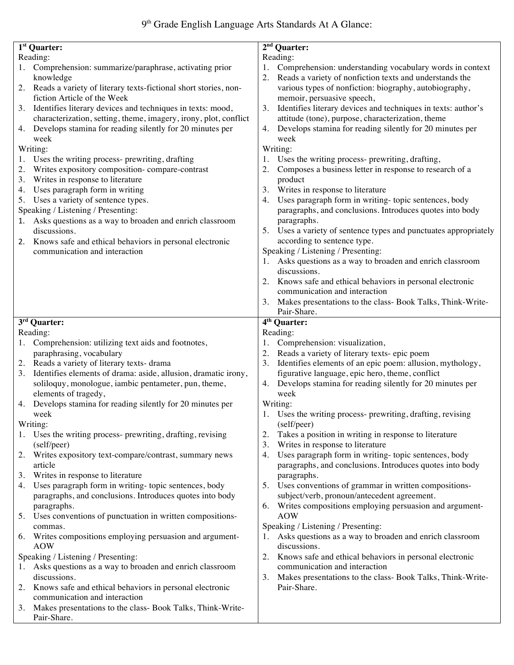# 9<sup>th</sup> Grade English Language Arts Standards At A Glance:

| $1st$ Quarter:                                                     | $2nd$ Quarter:                                                      |
|--------------------------------------------------------------------|---------------------------------------------------------------------|
| Reading:                                                           | Reading:                                                            |
| Comprehension: summarize/paraphrase, activating prior<br>1.        | Comprehension: understanding vocabulary words in context<br>1.      |
| knowledge                                                          | Reads a variety of nonfiction texts and understands the             |
| 2. Reads a variety of literary texts-fictional short stories, non- | various types of nonfiction: biography, autobiography,              |
| fiction Article of the Week                                        | memoir, persuasive speech,                                          |
| 3. Identifies literary devices and techniques in texts: mood,      | Identifies literary devices and techniques in texts: author's<br>3. |
| characterization, setting, theme, imagery, irony, plot, conflict   | attitude (tone), purpose, characterization, theme                   |
| 4. Develops stamina for reading silently for 20 minutes per        | Develops stamina for reading silently for 20 minutes per<br>4.      |
| week                                                               | week                                                                |
| Writing:                                                           | Writing:                                                            |
| Uses the writing process- prewriting, drafting<br>1.               | Uses the writing process- prewriting, drafting,                     |
| Writes expository composition-compare-contrast<br>2.               | Composes a business letter in response to research of a             |
| Writes in response to literature<br>3.                             | product                                                             |
| Uses paragraph form in writing<br>4.                               | Writes in response to literature<br>3.                              |
| Uses a variety of sentence types.<br>5.                            | Uses paragraph form in writing-topic sentences, body<br>4.          |
| Speaking / Listening / Presenting:                                 | paragraphs, and conclusions. Introduces quotes into body            |
| Asks questions as a way to broaden and enrich classroom<br>1.      | paragraphs.                                                         |
| discussions.                                                       | 5. Uses a variety of sentence types and punctuates appropriately    |
| 2. Knows safe and ethical behaviors in personal electronic         | according to sentence type.                                         |
| communication and interaction                                      | Speaking / Listening / Presenting:                                  |
|                                                                    | Asks questions as a way to broaden and enrich classroom             |
|                                                                    | discussions.                                                        |
|                                                                    | 2. Knows safe and ethical behaviors in personal electronic          |
|                                                                    | communication and interaction                                       |
|                                                                    | 3. Makes presentations to the class- Book Talks, Think-Write-       |
|                                                                    | Pair-Share.                                                         |
| 3 <sup>rd</sup> Quarter:                                           | 4 <sup>th</sup> Quarter:                                            |
| Reading:                                                           | Reading:                                                            |
| 1. Comprehension: utilizing text aids and footnotes,               | Comprehension: visualization,<br>1.                                 |
| paraphrasing, vocabulary                                           | Reads a variety of literary texts-epic poem                         |
| 2. Reads a variety of literary texts-drama                         | 3. Identifies elements of an epic poem: allusion, mythology,        |
| 3. Identifies elements of drama: aside, allusion, dramatic irony,  | figurative language, epic hero, theme, conflict                     |
| soliloquy, monologue, iambic pentameter, pun, theme,               | 4. Develops stamina for reading silently for 20 minutes per         |
| elements of tragedy,                                               | week                                                                |
| 4. Develops stamina for reading silently for 20 minutes per        | Writing:                                                            |
| week                                                               |                                                                     |
|                                                                    | 1. Uses the writing process- prewriting, drafting, revising         |
| Writing:                                                           | (self/peer)                                                         |
| 1. Uses the writing process- prewriting, drafting, revising        | Takes a position in writing in response to literature<br>2.         |
| (self/peer)                                                        | 3.<br>Writes in response to literature                              |
| Writes expository text-compare/contrast, summary news<br>2.        | Uses paragraph form in writing-topic sentences, body<br>4.          |
| article                                                            | paragraphs, and conclusions. Introduces quotes into body            |
| Writes in response to literature<br>3.                             | paragraphs.                                                         |
| Uses paragraph form in writing-topic sentences, body<br>4.         | Uses conventions of grammar in written compositions-<br>5.          |
| paragraphs, and conclusions. Introduces quotes into body           | subject/verb, pronoun/antecedent agreement.                         |
| paragraphs.                                                        | Writes compositions employing persuasion and argument-<br>6.        |
| Uses conventions of punctuation in written compositions-<br>5.     | <b>AOW</b>                                                          |
| commas.                                                            | Speaking / Listening / Presenting:                                  |
| 6. Writes compositions employing persuasion and argument-          | Asks questions as a way to broaden and enrich classroom             |
| <b>AOW</b>                                                         | discussions.                                                        |
| Speaking / Listening / Presenting:                                 | Knows safe and ethical behaviors in personal electronic<br>2.       |
| Asks questions as a way to broaden and enrich classroom            | communication and interaction                                       |
| discussions.                                                       | 3.<br>Makes presentations to the class- Book Talks, Think-Write-    |
| Knows safe and ethical behaviors in personal electronic<br>2.      | Pair-Share.                                                         |
| communication and interaction                                      |                                                                     |
| Makes presentations to the class- Book Talks, Think-Write-<br>3.   |                                                                     |
| Pair-Share.                                                        |                                                                     |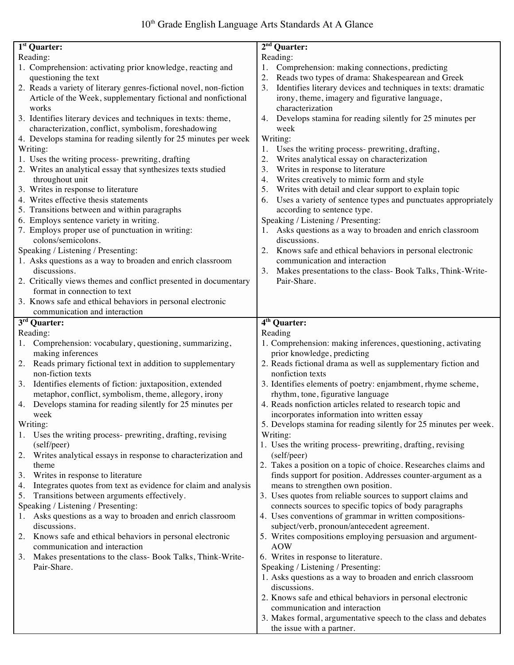| $1st$ Quarter:                                                          | $2nd$ Quarter:                                                                                                                 |
|-------------------------------------------------------------------------|--------------------------------------------------------------------------------------------------------------------------------|
| Reading:                                                                | Reading:                                                                                                                       |
| 1. Comprehension: activating prior knowledge, reacting and              | Comprehension: making connections, predicting<br>1.                                                                            |
| questioning the text                                                    | Reads two types of drama: Shakespearean and Greek<br>2.                                                                        |
| 2. Reads a variety of literary genres-fictional novel, non-fiction      | Identifies literary devices and techniques in texts: dramatic<br>3.                                                            |
| Article of the Week, supplementary fictional and nonfictional           | irony, theme, imagery and figurative language,                                                                                 |
| works                                                                   | characterization                                                                                                               |
| 3. Identifies literary devices and techniques in texts: theme,          | Develops stamina for reading silently for 25 minutes per<br>4.                                                                 |
| characterization, conflict, symbolism, foreshadowing                    | week                                                                                                                           |
| 4. Develops stamina for reading silently for 25 minutes per week        | Writing:                                                                                                                       |
| Writing:                                                                | Uses the writing process- prewriting, drafting,<br>1.                                                                          |
| 1. Uses the writing process- prewriting, drafting                       | 2.<br>Writes analytical essay on characterization                                                                              |
| 2. Writes an analytical essay that synthesizes texts studied            | 3.<br>Writes in response to literature                                                                                         |
| throughout unit                                                         | Writes creatively to mimic form and style<br>4.                                                                                |
| 3. Writes in response to literature                                     | Writes with detail and clear support to explain topic<br>5.                                                                    |
| 4. Writes effective thesis statements                                   | Uses a variety of sentence types and punctuates appropriately<br>6.                                                            |
| 5. Transitions between and within paragraphs                            | according to sentence type.                                                                                                    |
| 6. Employs sentence variety in writing.                                 | Speaking / Listening / Presenting:                                                                                             |
| 7. Employs proper use of punctuation in writing:                        | 1. Asks questions as a way to broaden and enrich classroom                                                                     |
| colons/semicolons.                                                      | discussions.                                                                                                                   |
| Speaking / Listening / Presenting:                                      | Knows safe and ethical behaviors in personal electronic<br>2.                                                                  |
| 1. Asks questions as a way to broaden and enrich classroom              | communication and interaction                                                                                                  |
| discussions.                                                            | Makes presentations to the class- Book Talks, Think-Write-<br>3.                                                               |
| 2. Critically views themes and conflict presented in documentary        | Pair-Share.                                                                                                                    |
| format in connection to text                                            |                                                                                                                                |
| 3. Knows safe and ethical behaviors in personal electronic              |                                                                                                                                |
| communication and interaction                                           |                                                                                                                                |
| 3 <sup>rd</sup> Quarter:                                                | 4 <sup>th</sup> Quarter:                                                                                                       |
| Reading:                                                                | Reading                                                                                                                        |
|                                                                         |                                                                                                                                |
| 1. Comprehension: vocabulary, questioning, summarizing,                 | 1. Comprehension: making inferences, questioning, activating                                                                   |
| making inferences                                                       | prior knowledge, predicting                                                                                                    |
| 2. Reads primary fictional text in addition to supplementary            | 2. Reads fictional drama as well as supplementary fiction and                                                                  |
| non-fiction texts                                                       | nonfiction texts                                                                                                               |
| 3.<br>Identifies elements of fiction: juxtaposition, extended           | 3. Identifies elements of poetry: enjambment, rhyme scheme,                                                                    |
| metaphor, conflict, symbolism, theme, allegory, irony                   | rhythm, tone, figurative language                                                                                              |
| 4. Develops stamina for reading silently for 25 minutes per             | 4. Reads nonfiction articles related to research topic and                                                                     |
| week                                                                    | incorporates information into written essay                                                                                    |
| Writing:                                                                | 5. Develops stamina for reading silently for 25 minutes per week.                                                              |
|                                                                         | Writing:                                                                                                                       |
| 1. Uses the writing process- prewriting, drafting, revising             |                                                                                                                                |
| (self/peer)<br>2.                                                       | 1. Uses the writing process- prewriting, drafting, revising<br>(self/peer)                                                     |
| Writes analytical essays in response to characterization and<br>theme   |                                                                                                                                |
| 3.                                                                      | 2. Takes a position on a topic of choice. Researches claims and<br>finds support for position. Addresses counter-argument as a |
| Writes in response to literature<br>4.                                  |                                                                                                                                |
| Integrates quotes from text as evidence for claim and analysis<br>5.    | means to strengthen own position.                                                                                              |
| Transitions between arguments effectively.                              | 3. Uses quotes from reliable sources to support claims and<br>connects sources to specific topics of body paragraphs           |
| Speaking / Listening / Presenting:<br>Ι.                                |                                                                                                                                |
| Asks questions as a way to broaden and enrich classroom<br>discussions. | 4. Uses conventions of grammar in written compositions-<br>subject/verb, pronoun/antecedent agreement.                         |
| Knows safe and ethical behaviors in personal electronic<br>2.           | 5. Writes compositions employing persuasion and argument-                                                                      |
| communication and interaction                                           | <b>AOW</b>                                                                                                                     |
| Makes presentations to the class- Book Talks, Think-Write-<br>3.        | 6. Writes in response to literature.                                                                                           |
| Pair-Share.                                                             | Speaking / Listening / Presenting:                                                                                             |
|                                                                         | 1. Asks questions as a way to broaden and enrich classroom                                                                     |
|                                                                         | discussions.                                                                                                                   |
|                                                                         | 2. Knows safe and ethical behaviors in personal electronic                                                                     |
|                                                                         | communication and interaction                                                                                                  |
|                                                                         | 3. Makes formal, argumentative speech to the class and debates                                                                 |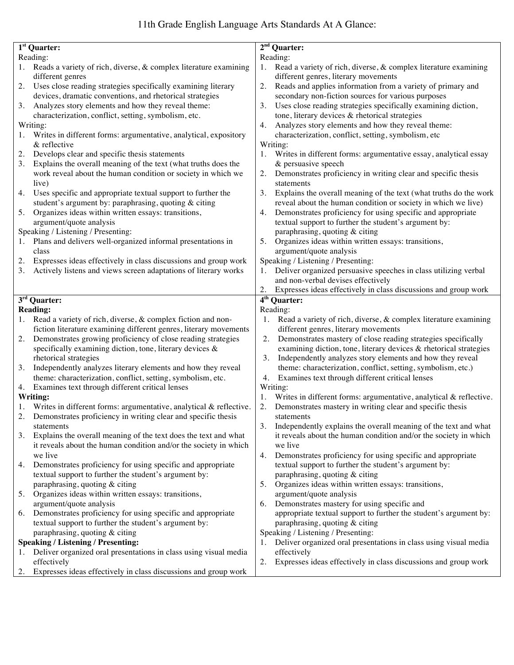### 11th Grade English Language Arts Standards At A Glance:

| 1 <sup>st</sup> Quarter:                                               | $2nd$ Quarter:                                                           |
|------------------------------------------------------------------------|--------------------------------------------------------------------------|
| Reading:                                                               | Reading:                                                                 |
| 1. Reads a variety of rich, diverse, & complex literature examining    | Read a variety of rich, diverse, & complex literature examining<br>1.    |
| different genres                                                       | different genres, literary movements                                     |
| Uses close reading strategies specifically examining literary<br>2.    | 2.<br>Reads and applies information from a variety of primary and        |
| devices, dramatic conventions, and rhetorical strategies               | secondary non-fiction sources for various purposes                       |
| Analyzes story elements and how they reveal theme:<br>3.               | Uses close reading strategies specifically examining diction,<br>3.      |
| characterization, conflict, setting, symbolism, etc.                   | tone, literary devices & rhetorical strategies                           |
| Writing:                                                               | Analyzes story elements and how they reveal theme:<br>4.                 |
| Writes in different forms: argumentative, analytical, expository<br>1. | characterization, conflict, setting, symbolism, etc                      |
| $&$ reflective                                                         | Writing:                                                                 |
| 2.<br>Develops clear and specific thesis statements                    | Writes in different forms: argumentative essay, analytical essay<br>1.   |
| Explains the overall meaning of the text (what truths does the<br>3.   | & persuasive speech                                                      |
| work reveal about the human condition or society in which we           | Demonstrates proficiency in writing clear and specific thesis<br>2.      |
|                                                                        |                                                                          |
| live)                                                                  | statements                                                               |
| Uses specific and appropriate textual support to further the<br>4.     | 3.<br>Explains the overall meaning of the text (what truths do the work  |
| student's argument by: paraphrasing, quoting & citing                  | reveal about the human condition or society in which we live)            |
| Organizes ideas within written essays: transitions,<br>5.              | Demonstrates proficiency for using specific and appropriate<br>4.        |
| argument/quote analysis                                                | textual support to further the student's argument by:                    |
| Speaking / Listening / Presenting:                                     | paraphrasing, quoting & citing                                           |
| Plans and delivers well-organized informal presentations in<br>1.      | Organizes ideas within written essays: transitions,<br>5.                |
| class                                                                  | argument/quote analysis                                                  |
| Expresses ideas effectively in class discussions and group work<br>2.  | Speaking / Listening / Presenting:                                       |
| Actively listens and views screen adaptations of literary works<br>3.  | Deliver organized persuasive speeches in class utilizing verbal          |
|                                                                        | and non-verbal devises effectively                                       |
|                                                                        | Expresses ideas effectively in class discussions and group work<br>2.    |
| $\overline{3^{rd}}$ Quarter:                                           | $4th$ Quarter:                                                           |
| <b>Reading:</b>                                                        | Reading:                                                                 |
| 1. Read a variety of rich, diverse, & complex fiction and non-         | Read a variety of rich, diverse, & complex literature examining          |
| fiction literature examining different genres, literary movements      | different genres, literary movements                                     |
|                                                                        | 2.                                                                       |
| Demonstrates growing proficiency of close reading strategies<br>2.     | Demonstrates mastery of close reading strategies specifically            |
| specifically examining diction, tone, literary devices &               | examining diction, tone, literary devices & rhetorical strategies        |
| rhetorical strategies                                                  | 3.<br>Independently analyzes story elements and how they reveal          |
| Independently analyzes literary elements and how they reveal<br>3.     | theme: characterization, conflict, setting, symbolism, etc.)             |
| theme: characterization, conflict, setting, symbolism, etc.            | Examines text through different critical lenses<br>4.                    |
| Examines text through different critical lenses<br>4.                  | Writing:                                                                 |
| Writing:                                                               | Writes in different forms: argumentative, analytical & reflective.<br>1. |
| 1. Writes in different forms: argumentative, analytical & reflective.  | Demonstrates mastery in writing clear and specific thesis<br>2.          |
| Demonstrates proficiency in writing clear and specific thesis          | statements                                                               |
| statements                                                             | 3.<br>Independently explains the overall meaning of the text and what    |
| Explains the overall meaning of the text does the text and what<br>3.  | it reveals about the human condition and/or the society in which         |
| it reveals about the human condition and/or the society in which       | we live                                                                  |
| we live                                                                | Demonstrates proficiency for using specific and appropriate<br>4.        |
| Demonstrates proficiency for using specific and appropriate<br>4.      | textual support to further the student's argument by:                    |
| textual support to further the student's argument by:                  | paraphrasing, quoting & citing                                           |
| paraphrasing, quoting & citing                                         | Organizes ideas within written essays: transitions,<br>5.                |
| Organizes ideas within written essays: transitions,<br>5.              | argument/quote analysis                                                  |
| argument/quote analysis                                                | Demonstrates mastery for using specific and<br>6.                        |
|                                                                        |                                                                          |
| Demonstrates proficiency for using specific and appropriate<br>6.      | appropriate textual support to further the student's argument by:        |
| textual support to further the student's argument by:                  | paraphrasing, quoting & citing                                           |
| paraphrasing, quoting & citing                                         | Speaking / Listening / Presenting:                                       |
| <b>Speaking / Listening / Presenting:</b>                              | Deliver organized oral presentations in class using visual media<br>1.   |
| Deliver organized oral presentations in class using visual media<br>1. | effectively                                                              |
| effectively                                                            | Expresses ideas effectively in class discussions and group work<br>2.    |
| 2. Expresses ideas effectively in class discussions and group work     |                                                                          |